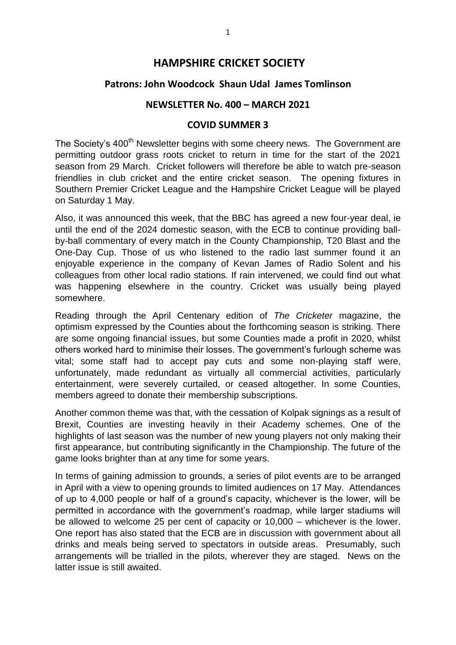# **HAMPSHIRE CRICKET SOCIETY**

## **Patrons: John Woodcock Shaun Udal James Tomlinson**

## **NEWSLETTER No. 400 – MARCH 2021**

#### **COVID SUMMER 3**

The Society's 400<sup>th</sup> Newsletter begins with some cheery news. The Government are permitting outdoor grass roots cricket to return in time for the start of the 2021 season from 29 March. Cricket followers will therefore be able to watch pre-season friendlies in club cricket and the entire cricket season. The opening fixtures in Southern Premier Cricket League and the Hampshire Cricket League will be played on Saturday 1 May.

Also, it was announced this week, that the BBC has agreed a new four-year deal, ie until the end of the 2024 domestic season, with the ECB to continue providing ballby-ball commentary of every match in the County Championship, T20 Blast and the One-Day Cup. Those of us who listened to the radio last summer found it an enjoyable experience in the company of Kevan James of Radio Solent and his colleagues from other local radio stations. If rain intervened, we could find out what was happening elsewhere in the country. Cricket was usually being played somewhere.

Reading through the April Centenary edition of *The Cricketer* magazine, the optimism expressed by the Counties about the forthcoming season is striking. There are some ongoing financial issues, but some Counties made a profit in 2020, whilst others worked hard to minimise their losses. The government's furlough scheme was vital; some staff had to accept pay cuts and some non-playing staff were, unfortunately, made redundant as virtually all commercial activities, particularly entertainment, were severely curtailed, or ceased altogether. In some Counties, members agreed to donate their membership subscriptions.

Another common theme was that, with the cessation of Kolpak signings as a result of Brexit, Counties are investing heavily in their Academy schemes. One of the highlights of last season was the number of new young players not only making their first appearance, but contributing significantly in the Championship. The future of the game looks brighter than at any time for some years.

In terms of gaining admission to grounds, a series of pilot events are to be arranged in April with a view to opening grounds to limited audiences on 17 May. Attendances of up to 4,000 people or half of a ground's capacity, whichever is the lower, will be permitted in accordance with the government's roadmap, while larger stadiums will be allowed to welcome 25 per cent of capacity or 10,000 – whichever is the lower. One report has also stated that the ECB are in discussion with government about all drinks and meals being served to spectators in outside areas. Presumably, such arrangements will be trialled in the pilots, wherever they are staged. News on the latter issue is still awaited.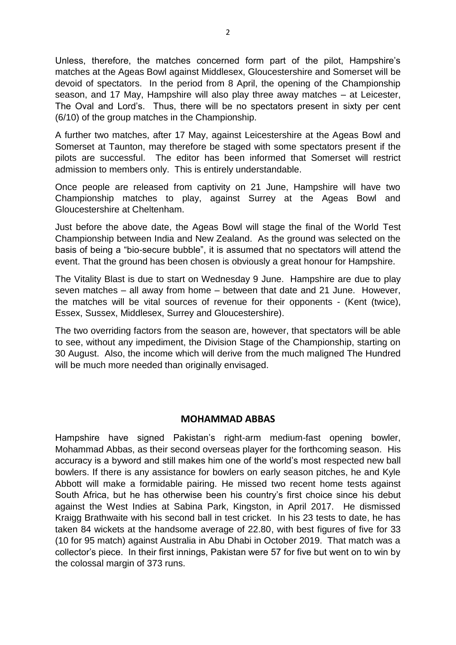Unless, therefore, the matches concerned form part of the pilot, Hampshire's matches at the Ageas Bowl against Middlesex, Gloucestershire and Somerset will be devoid of spectators. In the period from 8 April, the opening of the Championship season, and 17 May, Hampshire will also play three away matches – at Leicester, The Oval and Lord's. Thus, there will be no spectators present in sixty per cent (6/10) of the group matches in the Championship.

A further two matches, after 17 May, against Leicestershire at the Ageas Bowl and Somerset at Taunton, may therefore be staged with some spectators present if the pilots are successful. The editor has been informed that Somerset will restrict admission to members only. This is entirely understandable.

Once people are released from captivity on 21 June, Hampshire will have two Championship matches to play, against Surrey at the Ageas Bowl and Gloucestershire at Cheltenham.

Just before the above date, the Ageas Bowl will stage the final of the World Test Championship between India and New Zealand. As the ground was selected on the basis of being a "bio-secure bubble", it is assumed that no spectators will attend the event. That the ground has been chosen is obviously a great honour for Hampshire.

The Vitality Blast is due to start on Wednesday 9 June. Hampshire are due to play seven matches – all away from home – between that date and 21 June. However, the matches will be vital sources of revenue for their opponents - (Kent (twice), Essex, Sussex, Middlesex, Surrey and Gloucestershire).

The two overriding factors from the season are, however, that spectators will be able to see, without any impediment, the Division Stage of the Championship, starting on 30 August. Also, the income which will derive from the much maligned The Hundred will be much more needed than originally envisaged.

### **MOHAMMAD ABBAS**

Hampshire have signed Pakistan's right-arm medium-fast opening bowler, Mohammad Abbas, as their second overseas player for the forthcoming season. His accuracy is a byword and still makes him one of the world's most respected new ball bowlers. If there is any assistance for bowlers on early season pitches, he and Kyle Abbott will make a formidable pairing. He missed two recent home tests against South Africa, but he has otherwise been his country's first choice since his debut against the West Indies at Sabina Park, Kingston, in April 2017. He dismissed Kraigg Brathwaite with his second ball in test cricket. In his 23 tests to date, he has taken 84 wickets at the handsome average of 22.80, with best figures of five for 33 (10 for 95 match) against Australia in Abu Dhabi in October 2019. That match was a collector's piece. In their first innings, Pakistan were 57 for five but went on to win by the colossal margin of 373 runs.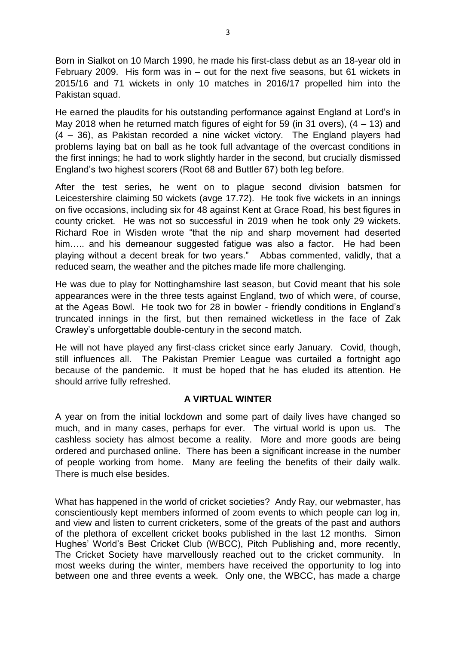Born in Sialkot on 10 March 1990, he made his first-class debut as an 18-year old in February 2009. His form was in – out for the next five seasons, but 61 wickets in 2015/16 and 71 wickets in only 10 matches in 2016/17 propelled him into the Pakistan squad.

He earned the plaudits for his outstanding performance against England at Lord's in May 2018 when he returned match figures of eight for 59 (in 31 overs), (4 – 13) and (4 – 36), as Pakistan recorded a nine wicket victory. The England players had problems laying bat on ball as he took full advantage of the overcast conditions in the first innings; he had to work slightly harder in the second, but crucially dismissed England's two highest scorers (Root 68 and Buttler 67) both leg before.

After the test series, he went on to plague second division batsmen for Leicestershire claiming 50 wickets (avge 17.72). He took five wickets in an innings on five occasions, including six for 48 against Kent at Grace Road, his best figures in county cricket. He was not so successful in 2019 when he took only 29 wickets. Richard Roe in Wisden wrote "that the nip and sharp movement had deserted him..... and his demeanour suggested fatigue was also a factor. He had been playing without a decent break for two years." Abbas commented, validly, that a reduced seam, the weather and the pitches made life more challenging.

He was due to play for Nottinghamshire last season, but Covid meant that his sole appearances were in the three tests against England, two of which were, of course, at the Ageas Bowl. He took two for 28 in bowler - friendly conditions in England's truncated innings in the first, but then remained wicketless in the face of Zak Crawley's unforgettable double-century in the second match.

He will not have played any first-class cricket since early January. Covid, though, still influences all. The Pakistan Premier League was curtailed a fortnight ago because of the pandemic. It must be hoped that he has eluded its attention. He should arrive fully refreshed.

## **A VIRTUAL WINTER**

A year on from the initial lockdown and some part of daily lives have changed so much, and in many cases, perhaps for ever. The virtual world is upon us. The cashless society has almost become a reality. More and more goods are being ordered and purchased online. There has been a significant increase in the number of people working from home. Many are feeling the benefits of their daily walk. There is much else besides.

What has happened in the world of cricket societies? Andy Ray, our webmaster, has conscientiously kept members informed of zoom events to which people can log in, and view and listen to current cricketers, some of the greats of the past and authors of the plethora of excellent cricket books published in the last 12 months. Simon Hughes' World's Best Cricket Club (WBCC), Pitch Publishing and, more recently, The Cricket Society have marvellously reached out to the cricket community. In most weeks during the winter, members have received the opportunity to log into between one and three events a week. Only one, the WBCC, has made a charge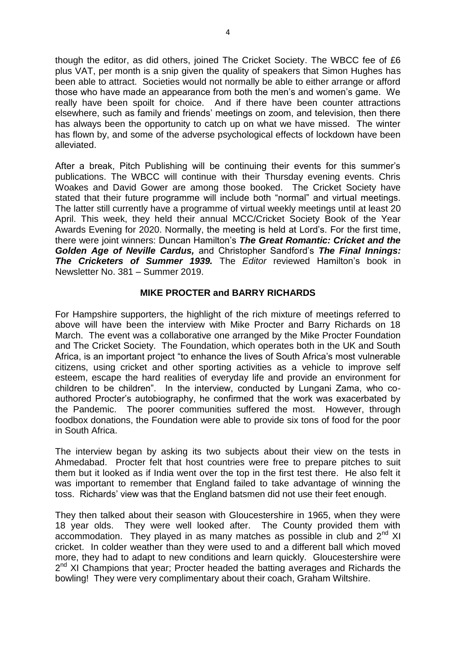though the editor, as did others, joined The Cricket Society. The WBCC fee of £6 plus VAT, per month is a snip given the quality of speakers that Simon Hughes has been able to attract. Societies would not normally be able to either arrange or afford those who have made an appearance from both the men's and women's game. We really have been spoilt for choice. And if there have been counter attractions elsewhere, such as family and friends' meetings on zoom, and television, then there has always been the opportunity to catch up on what we have missed. The winter has flown by, and some of the adverse psychological effects of lockdown have been alleviated.

After a break, Pitch Publishing will be continuing their events for this summer's publications. The WBCC will continue with their Thursday evening events. Chris Woakes and David Gower are among those booked. The Cricket Society have stated that their future programme will include both "normal" and virtual meetings. The latter still currently have a programme of virtual weekly meetings until at least 20 April. This week, they held their annual MCC/Cricket Society Book of the Year Awards Evening for 2020. Normally, the meeting is held at Lord's. For the first time, there were joint winners: Duncan Hamilton's *The Great Romantic: Cricket and the Golden Age of Neville Cardus,* and Christopher Sandford's *The Final Innings: The Cricketers of Summer 1939.* The *Editor* reviewed Hamilton's book in Newsletter No. 381 – Summer 2019.

### **MIKE PROCTER and BARRY RICHARDS**

For Hampshire supporters, the highlight of the rich mixture of meetings referred to above will have been the interview with Mike Procter and Barry Richards on 18 March. The event was a collaborative one arranged by the Mike Procter Foundation and The Cricket Society. The Foundation, which operates both in the UK and South Africa, is an important project "to enhance the lives of South Africa's most vulnerable citizens, using cricket and other sporting activities as a vehicle to improve self esteem, escape the hard realities of everyday life and provide an environment for children to be children". In the interview, conducted by Lungani Zama, who coauthored Procter's autobiography, he confirmed that the work was exacerbated by the Pandemic. The poorer communities suffered the most. However, through foodbox donations, the Foundation were able to provide six tons of food for the poor in South Africa.

The interview began by asking its two subjects about their view on the tests in Ahmedabad. Procter felt that host countries were free to prepare pitches to suit them but it looked as if India went over the top in the first test there. He also felt it was important to remember that England failed to take advantage of winning the toss. Richards' view was that the England batsmen did not use their feet enough.

They then talked about their season with Gloucestershire in 1965, when they were 18 year olds. They were well looked after. The County provided them with accommodation. They played in as many matches as possible in club and  $2^{nd}$  XI cricket. In colder weather than they were used to and a different ball which moved more, they had to adapt to new conditions and learn quickly. Gloucestershire were 2<sup>nd</sup> XI Champions that year; Procter headed the batting averages and Richards the bowling! They were very complimentary about their coach, Graham Wiltshire.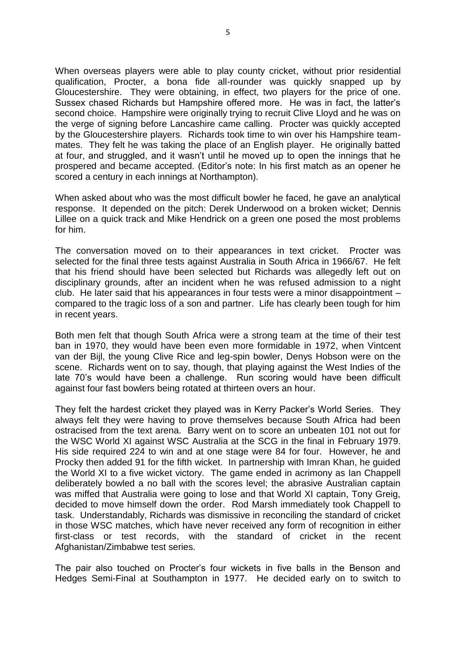When overseas players were able to play county cricket, without prior residential qualification, Procter, a bona fide all-rounder was quickly snapped up by Gloucestershire. They were obtaining, in effect, two players for the price of one. Sussex chased Richards but Hampshire offered more. He was in fact, the latter's second choice. Hampshire were originally trying to recruit Clive Lloyd and he was on the verge of signing before Lancashire came calling. Procter was quickly accepted by the Gloucestershire players. Richards took time to win over his Hampshire teammates. They felt he was taking the place of an English player. He originally batted at four, and struggled, and it wasn't until he moved up to open the innings that he prospered and became accepted. (Editor's note: In his first match as an opener he scored a century in each innings at Northampton).

When asked about who was the most difficult bowler he faced, he gave an analytical response. It depended on the pitch: Derek Underwood on a broken wicket; Dennis Lillee on a quick track and Mike Hendrick on a green one posed the most problems for him.

The conversation moved on to their appearances in text cricket. Procter was selected for the final three tests against Australia in South Africa in 1966/67. He felt that his friend should have been selected but Richards was allegedly left out on disciplinary grounds, after an incident when he was refused admission to a night club. He later said that his appearances in four tests were a minor disappointment – compared to the tragic loss of a son and partner. Life has clearly been tough for him in recent years.

Both men felt that though South Africa were a strong team at the time of their test ban in 1970, they would have been even more formidable in 1972, when Vintcent van der Bijl, the young Clive Rice and leg-spin bowler, Denys Hobson were on the scene. Richards went on to say, though, that playing against the West Indies of the late 70's would have been a challenge. Run scoring would have been difficult against four fast bowlers being rotated at thirteen overs an hour.

They felt the hardest cricket they played was in Kerry Packer's World Series. They always felt they were having to prove themselves because South Africa had been ostracised from the text arena. Barry went on to score an unbeaten 101 not out for the WSC World XI against WSC Australia at the SCG in the final in February 1979. His side required 224 to win and at one stage were 84 for four. However, he and Procky then added 91 for the fifth wicket. In partnership with Imran Khan, he guided the World XI to a five wicket victory. The game ended in acrimony as Ian Chappell deliberately bowled a no ball with the scores level; the abrasive Australian captain was miffed that Australia were going to lose and that World XI captain, Tony Greig, decided to move himself down the order. Rod Marsh immediately took Chappell to task. Understandably, Richards was dismissive in reconciling the standard of cricket in those WSC matches, which have never received any form of recognition in either first-class or test records, with the standard of cricket in the recent Afghanistan/Zimbabwe test series.

The pair also touched on Procter's four wickets in five balls in the Benson and Hedges Semi-Final at Southampton in 1977. He decided early on to switch to